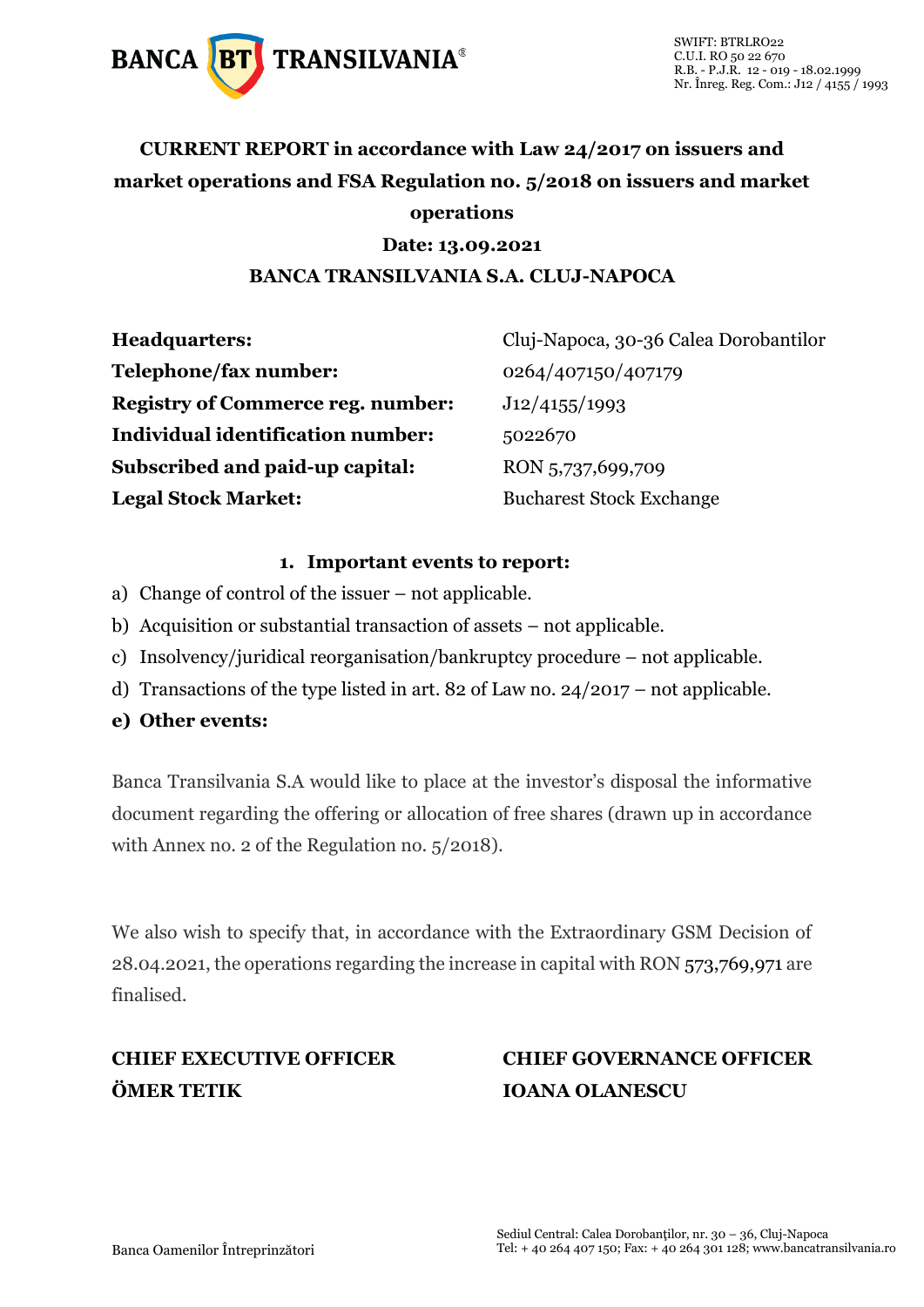

## **CURRENT REPORT in accordance with Law 24/2017 on issuers and market operations and FSA Regulation no. 5/2018 on issuers and market operations**

#### **Date: 13.09.2021 BANCA TRANSILVANIA S.A. CLUJ-NAPOCA**

| <b>Headquarters:</b>                     | Cluj-Napoca, 30-36 Calea Dorobantilor |  |  |
|------------------------------------------|---------------------------------------|--|--|
| Telephone/fax number:                    | 0264/407150/407179                    |  |  |
| <b>Registry of Commerce reg. number:</b> | J12/4155/1993                         |  |  |
| <b>Individual identification number:</b> | 5022670                               |  |  |
| Subscribed and paid-up capital:          | RON 5,737,699,709                     |  |  |
| <b>Legal Stock Market:</b>               | <b>Bucharest Stock Exchange</b>       |  |  |

#### **1. Important events to report:**

- a) Change of control of the issuer not applicable.
- b) Acquisition or substantial transaction of assets not applicable.
- c) Insolvency/juridical reorganisation/bankruptcy procedure not applicable.
- d) Transactions of the type listed in art. 82 of Law no. 24/2017 not applicable.
- **e) Other events:**

Banca Transilvania S.A would like to place at the investor's disposal the informative document regarding the offering or allocation of free shares (drawn up in accordance with Annex no. 2 of the Regulation no. 5/2018).

We also wish to specify that, in accordance with the Extraordinary GSM Decision of 28.04.2021, the operations regarding the increase in capital with RON 573,769,971 are finalised.

# **ÖMER TETIK IOANA OLANESCU**

# **CHIEF EXECUTIVE OFFICER CHIEF GOVERNANCE OFFICER**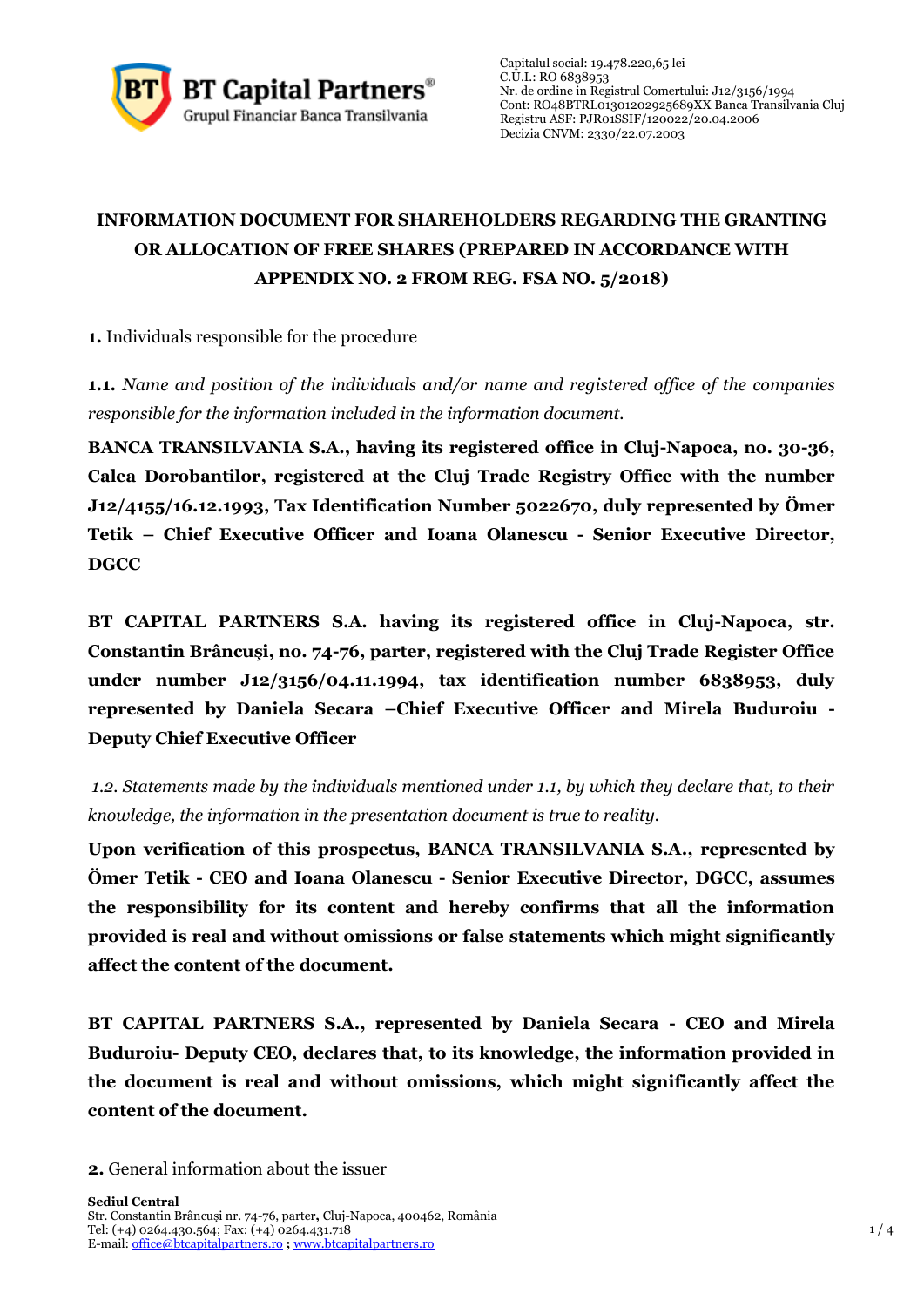

Capitalul social: 19.478.220,65 lei C.U.I.: RO 6838953 Nr. de ordine in Registrul Comertului: J12/3156/1994 Cont: RO48BTRL01301202925689XX Banca Transilvania Cluj Registru ASF: [PJR01SSIF/120022/](http://asfromania.ro/registru/detalii.php?id=11&nrcnvm=PJR01SSIF/120022&lng=1)20.04.2006 Decizia CNVM: 2330/22.07.2003

### **INFORMATION DOCUMENT FOR SHAREHOLDERS REGARDING THE GRANTING OR ALLOCATION OF FREE SHARES (PREPARED IN ACCORDANCE WITH APPENDIX NO. 2 FROM REG. FSA NO. 5/2018)**

**1.** Individuals responsible for the procedure

**1.1.** *Name and position of the individuals and/or name and registered office of the companies responsible for the information included in the information document.*

**BANCA TRANSILVANIA S.A., having its registered office in Cluj-Napoca, no. 30-36, Calea Dorobantilor, registered at the Cluj Trade Registry Office with the number J12/4155/16.12.1993, Tax Identification Number 5022670, duly represented by Ömer Tetik – Chief Executive Officer and Ioana Olanescu - Senior Executive Director, DGCC**

**BT CAPITAL PARTNERS S.A. having its registered office in Cluj-Napoca, str. Constantin Brâncuşi, no. 74-76, parter, registered with the Cluj Trade Register Office under number J12/3156/04.11.1994, tax identification number 6838953, duly represented by Daniela Secara –Chief Executive Officer and Mirela Buduroiu - Deputy Chief Executive Officer**

*1.2. Statements made by the individuals mentioned under 1.1, by which they declare that, to their knowledge, the information in the presentation document is true to reality.* 

**Upon verification of this prospectus, BANCA TRANSILVANIA S.A., represented by Ömer Tetik - CEO and Ioana Olanescu - Senior Executive Director, DGCC, assumes the responsibility for its content and hereby confirms that all the information provided is real and without omissions or false statements which might significantly affect the content of the document.**

**BT CAPITAL PARTNERS S.A., represented by Daniela Secara - CEO and Mirela Buduroiu- Deputy CEO, declares that, to its knowledge, the information provided in the document is real and without omissions, which might significantly affect the content of the document.**

**<sup>2.</sup>** General information about the issuer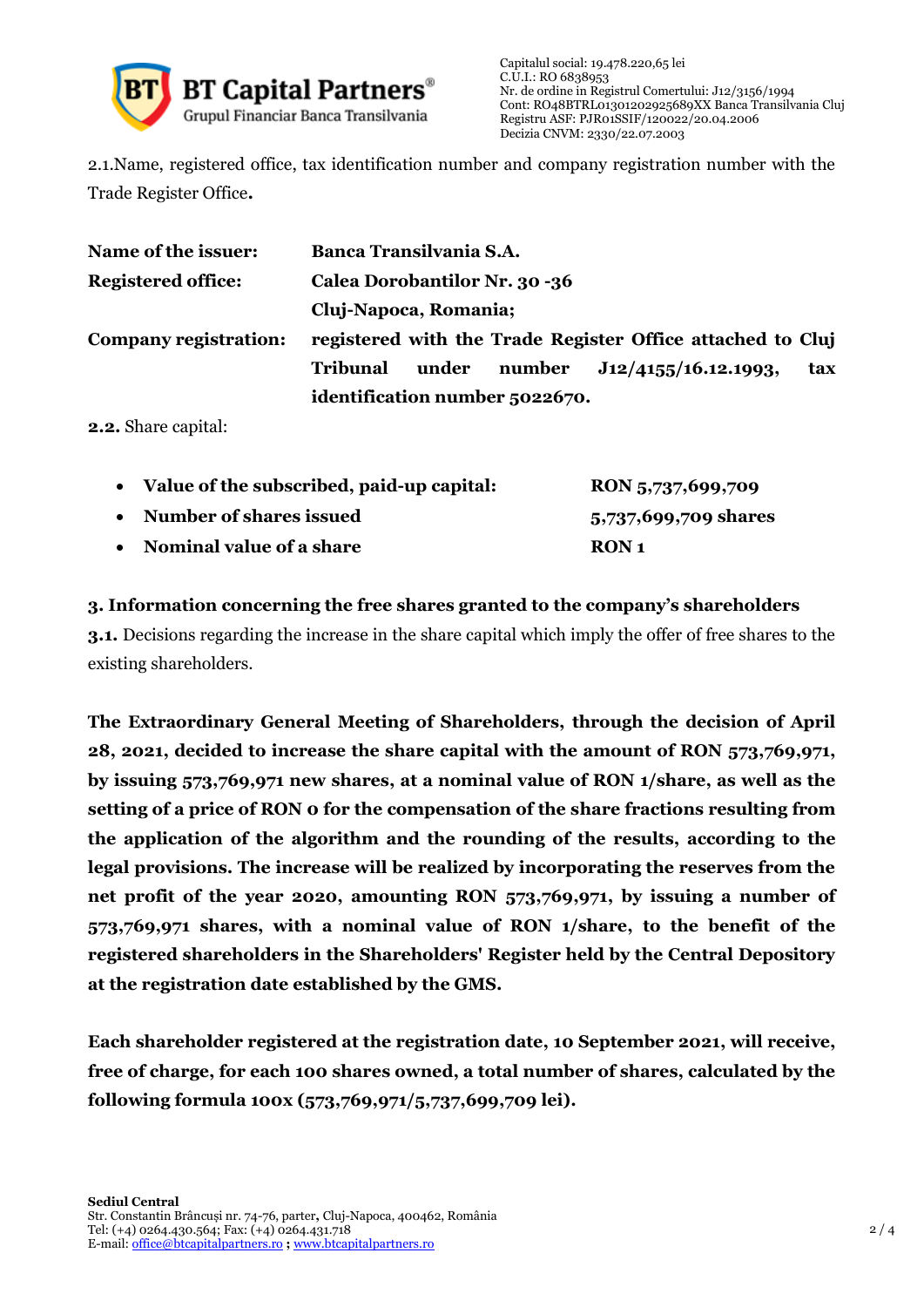

2.1.Name, registered office, tax identification number and company registration number with the Trade Register Office**.**

| Name of the issuer:       | <b>Banca Transilvania S.A.</b>                                    |  |  |  |  |
|---------------------------|-------------------------------------------------------------------|--|--|--|--|
| <b>Registered office:</b> | Calea Dorobantilor Nr. 30 -36<br>Cluj-Napoca, Romania;            |  |  |  |  |
|                           |                                                                   |  |  |  |  |
| Company registration:     | registered with the Trade Register Office attached to Cluj        |  |  |  |  |
|                           | J12/4155/16.12.1993,<br>number<br><b>Tribunal</b><br>under<br>tax |  |  |  |  |
|                           | identification number 5022670.                                    |  |  |  |  |

**2.2.** Share capital:

|           | • Value of the subscribed, paid-up capital: | RON 5,737,699,709    |
|-----------|---------------------------------------------|----------------------|
| $\bullet$ | Number of shares issued                     | 5,737,699,709 shares |
| $\bullet$ | <b>Nominal value of a share</b>             | RON 1                |

**3. Information concerning the free shares granted to the company's shareholders**

**3.1.** Decisions regarding the increase in the share capital which imply the offer of free shares to the existing shareholders.

**The Extraordinary General Meeting of Shareholders, through the decision of April 28, 2021, decided to increase the share capital with the amount of RON 573,769,971, by issuing 573,769,971 new shares, at a nominal value of RON 1/share, as well as the setting of a price of RON 0 for the compensation of the share fractions resulting from the application of the algorithm and the rounding of the results, according to the legal provisions. The increase will be realized by incorporating the reserves from the net profit of the year 2020, amounting RON 573,769,971, by issuing a number of 573,769,971 shares, with a nominal value of RON 1/share, to the benefit of the registered shareholders in the Shareholders' Register held by the Central Depository at the registration date established by the GMS.**

**Each shareholder registered at the registration date, 10 September 2021, will receive, free of charge, for each 100 shares owned, a total number of shares, calculated by the following formula 100x (573,769,971/5,737,699,709 lei).**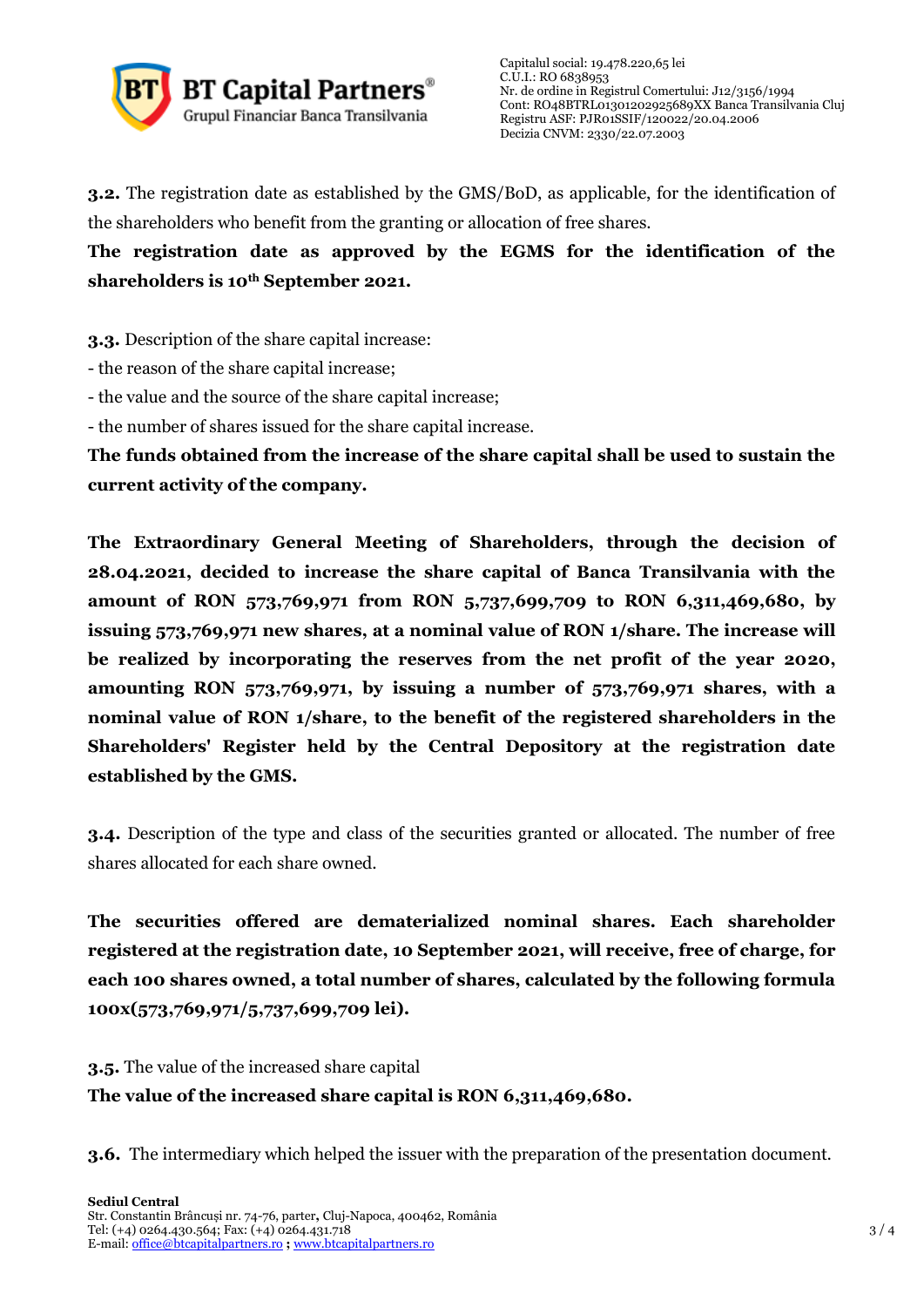

**3.2.** The registration date as established by the GMS/BoD, as applicable, for the identification of the shareholders who benefit from the granting or allocation of free shares.

**The registration date as approved by the EGMS for the identification of the shareholders is 10th September 2021.**

**3.3.** Description of the share capital increase:

- the reason of the share capital increase;

- the value and the source of the share capital increase;

- the number of shares issued for the share capital increase.

**The funds obtained from the increase of the share capital shall be used to sustain the current activity of the company.**

**The Extraordinary General Meeting of Shareholders, through the decision of 28.04.2021, decided to increase the share capital of Banca Transilvania with the amount of RON 573,769,971 from RON 5,737,699,709 to RON 6,311,469,680, by issuing 573,769,971 new shares, at a nominal value of RON 1/share. The increase will be realized by incorporating the reserves from the net profit of the year 2020, amounting RON 573,769,971, by issuing a number of 573,769,971 shares, with a nominal value of RON 1/share, to the benefit of the registered shareholders in the Shareholders' Register held by the Central Depository at the registration date established by the GMS.**

**3.4.** Description of the type and class of the securities granted or allocated. The number of free shares allocated for each share owned.

**The securities offered are dematerialized nominal shares. Each shareholder registered at the registration date, 10 September 2021, will receive, free of charge, for each 100 shares owned, a total number of shares, calculated by the following formula 100x(573,769,971/5,737,699,709 lei).**

**3.5.** The value of the increased share capital **The value of the increased share capital is RON 6,311,469,680.**

**3.6.** The intermediary which helped the issuer with the preparation of the presentation document.